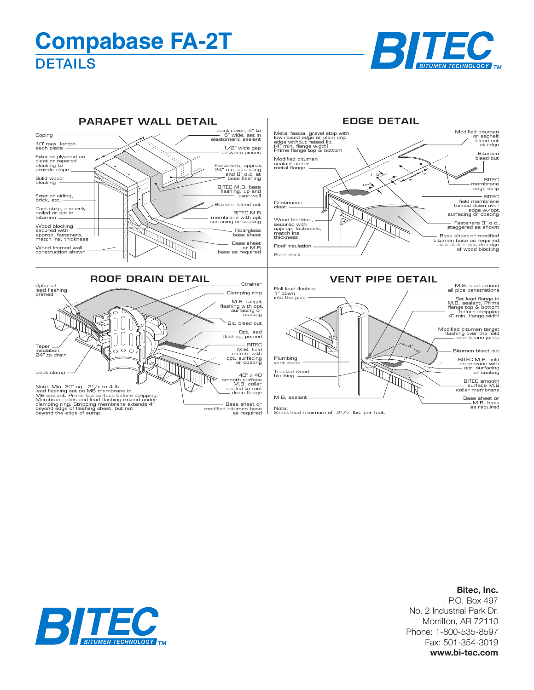## **DETAILS Compabase FA-2T**





## **Bitec, Inc.**

P.O. Box 497 No. 2 Industrial Park Dr. Morrilton, AR 72110 Phone: 1-800-535-8597 Fax: 501-354-3019 **www.bi-tec.com**